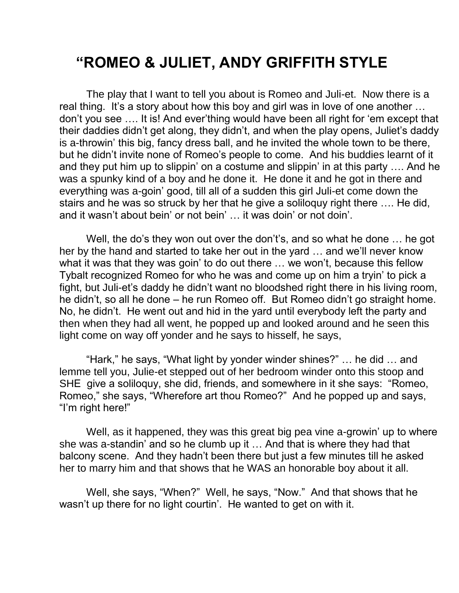## **"ROMEO & JULIET, ANDY GRIFFITH STYLE**

The play that I want to tell you about is Romeo and Juli-et. Now there is a real thing. It's a story about how this boy and girl was in love of one another ... don't you see …. It is! And ever'thing would have been all right for 'em except that their daddies didn't get along, they didn't, and when the play opens, Juliet's daddy is a-throwin' this big, fancy dress ball, and he invited the whole town to be there, but he didn't invite none of Romeo's people to come. And his buddies learnt of it and they put him up to slippin' on a costume and slippin' in at this party …. And he was a spunky kind of a boy and he done it. He done it and he got in there and everything was a-goin' good, till all of a sudden this girl Juli-et come down the stairs and he was so struck by her that he give a soliloquy right there …. He did, and it wasn't about bein' or not bein' … it was doin' or not doin'.

Well, the do's they won out over the don't's, and so what he done ... he got her by the hand and started to take her out in the yard … and we'll never know what it was that they was goin' to do out there … we won't, because this fellow Tybalt recognized Romeo for who he was and come up on him a tryin' to pick a fight, but Juli-et's daddy he didn't want no bloodshed right there in his living room, he didn't, so all he done – he run Romeo off. But Romeo didn't go straight home. No, he didn't. He went out and hid in the yard until everybody left the party and then when they had all went, he popped up and looked around and he seen this light come on way off yonder and he says to hisself, he says,

"Hark," he says, "What light by yonder winder shines?" … he did … and lemme tell you, Julie-et stepped out of her bedroom winder onto this stoop and SHE give a soliloquy, she did, friends, and somewhere in it she says: "Romeo, Romeo," she says, "Wherefore art thou Romeo?" And he popped up and says, "I'm right here!"

Well, as it happened, they was this great big pea vine a-growin' up to where she was a-standin' and so he clumb up it … And that is where they had that balcony scene. And they hadn't been there but just a few minutes till he asked her to marry him and that shows that he WAS an honorable boy about it all.

Well, she says, "When?" Well, he says, "Now." And that shows that he wasn't up there for no light courtin'. He wanted to get on with it.